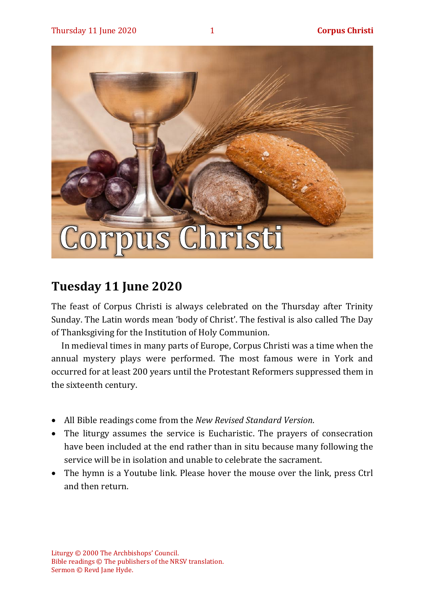

## **Tuesday 11 June 2020**

The feast of Corpus Christi is always celebrated on the Thursday after Trinity Sunday. The Latin words mean 'body of Christ'. The festival is also called The Day of Thanksgiving for the Institution of Holy Communion.

In medieval times in many parts of Europe, Corpus Christi was a time when the annual mystery plays were performed. The most famous were in York and occurred for at least 200 years until the Protestant Reformers suppressed them in the sixteenth century.

- All Bible readings come from the *New Revised Standard Version*.
- The liturgy assumes the service is Eucharistic. The prayers of consecration have been included at the end rather than in situ because many following the service will be in isolation and unable to celebrate the sacrament.
- The hymn is a Youtube link. Please hover the mouse over the link, press Ctrl and then return.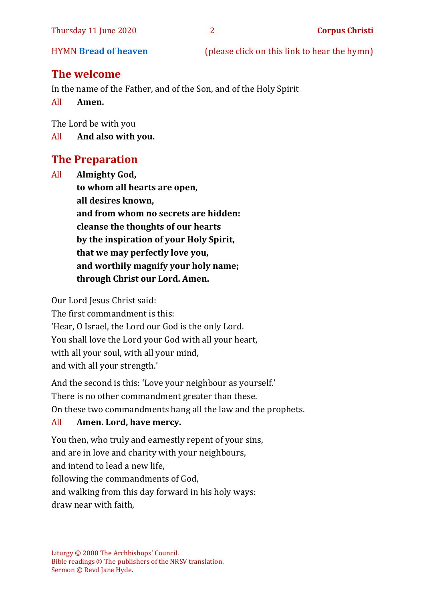HYMN **[Bread of heaven](https://www.youtube.com/watch?v=j7IEwZQqh2o)** (please click on this link to hear the hymn)

## **The welcome**

In the name of the Father, and of the Son, and of the Holy Spirit

All **Amen.**

The Lord be with you

All **And also with you.**

## **The Preparation**

All **Almighty God, to whom all hearts are open, all desires known, and from whom no secrets are hidden: cleanse the thoughts of our hearts by the inspiration of your Holy Spirit, that we may perfectly love you, and worthily magnify your holy name; through Christ our Lord. Amen.**

Our Lord Jesus Christ said:

The first commandment is this: 'Hear, O Israel, the Lord our God is the only Lord. You shall love the Lord your God with all your heart, with all your soul, with all your mind, and with all your strength.'

And the second is this: 'Love your neighbour as yourself.' There is no other commandment greater than these. On these two commandments hang all the law and the prophets.

#### All **Amen. Lord, have mercy.**

You then, who truly and earnestly repent of your sins, and are in love and charity with your neighbours, and intend to lead a new life, following the commandments of God, and walking from this day forward in his holy ways: draw near with faith,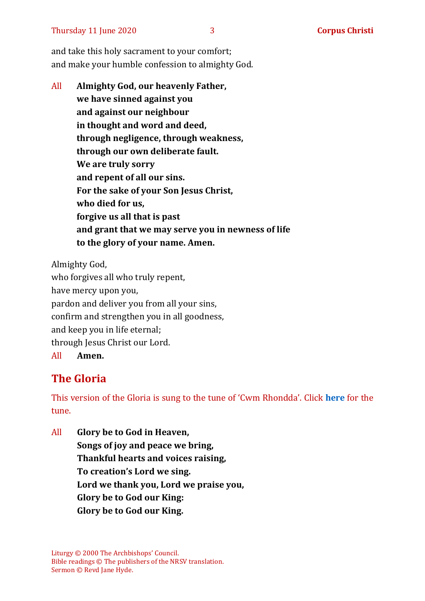and take this holy sacrament to your comfort; and make your humble confession to almighty God.

All **Almighty God, our heavenly Father, we have sinned against you and against our neighbour in thought and word and deed, through negligence, through weakness, through our own deliberate fault. We are truly sorry and repent of all our sins. For the sake of your Son Jesus Christ, who died for us, forgive us all that is past and grant that we may serve you in newness of life to the glory of your name. Amen.**

Almighty God,

who forgives all who truly repent, have mercy upon you, pardon and deliver you from all your sins, confirm and strengthen you in all goodness, and keep you in life eternal; through Jesus Christ our Lord. All **Amen.**

## **The Gloria**

This version of the Gloria is sung to the tune of 'Cwm Rhondda'. Click **[here](https://www.youtube.com/watch?v=BtGhnEwY74E)** for the tune.

All **Glory be to God in Heaven, Songs of joy and peace we bring, Thankful hearts and voices raising, To creation's Lord we sing. Lord we thank you, Lord we praise you, Glory be to God our King: Glory be to God our King.**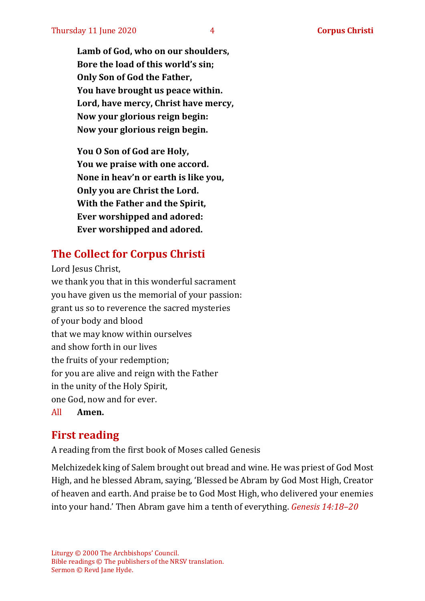**Lamb of God, who on our shoulders, Bore the load of this world's sin; Only Son of God the Father, You have brought us peace within. Lord, have mercy, Christ have mercy, Now your glorious reign begin: Now your glorious reign begin.**

**You O Son of God are Holy, You we praise with one accord. None in heav'n or earth is like you, Only you are Christ the Lord. With the Father and the Spirit, Ever worshipped and adored: Ever worshipped and adored.**

## **The Collect for Corpus Christi**

Lord Jesus Christ, we thank you that in this wonderful sacrament you have given us the memorial of your passion: grant us so to reverence the sacred mysteries of your body and blood that we may know within ourselves and show forth in our lives the fruits of your redemption; for you are alive and reign with the Father in the unity of the Holy Spirit, one God, now and for ever. All **Amen.**

## **First reading**

A reading from the first book of Moses called Genesis

Melchizedek king of Salem brought out bread and wine. He was priest of God Most High, and he blessed Abram, saying, 'Blessed be Abram by God Most High, Creator of heaven and earth. And praise be to God Most High, who delivered your enemies into your hand.' Then Abram gave him a tenth of everything. *Genesis 14:18–20*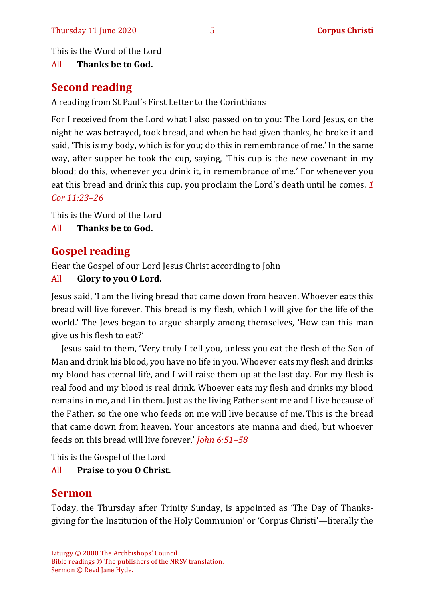This is the Word of the Lord

All **Thanks be to God.**

## **Second reading**

A reading from St Paul's First Letter to the Corinthians

For I received from the Lord what I also passed on to you: The Lord Jesus, on the night he was betrayed, took bread, and when he had given thanks, he broke it and said, 'This is my body, which is for you; do this in remembrance of me.' In the same way, after supper he took the cup, saying, 'This cup is the new covenant in my blood; do this, whenever you drink it, in remembrance of me.' For whenever you eat this bread and drink this cup, you proclaim the Lord's death until he comes. *1 Cor 11:23–26*

This is the Word of the Lord

All **Thanks be to God.**

## **Gospel reading**

Hear the Gospel of our Lord Jesus Christ according to John

### All **Glory to you O Lord.**

Jesus said, 'I am the living bread that came down from heaven. Whoever eats this bread will live forever. This bread is my flesh, which I will give for the life of the world.' The Jews began to argue sharply among themselves, 'How can this man give us his flesh to eat?'

Jesus said to them, 'Very truly I tell you, unless you eat the flesh of the Son of Man and drink his blood, you have no life in you. Whoever eats my flesh and drinks my blood has eternal life, and I will raise them up at the last day. For my flesh is real food and my blood is real drink. Whoever eats my flesh and drinks my blood remains in me, and I in them. Just as the living Father sent me and I live because of the Father, so the one who feeds on me will live because of me. This is the bread that came down from heaven. Your ancestors ate manna and died, but whoever feeds on this bread will live forever.' *John 6:51–58*

This is the Gospel of the Lord

## All **Praise to you O Christ.**

## **Sermon**

Today, the Thursday after Trinity Sunday, is appointed as 'The Day of Thanksgiving for the Institution of the Holy Communion' or 'Corpus Christi'—literally the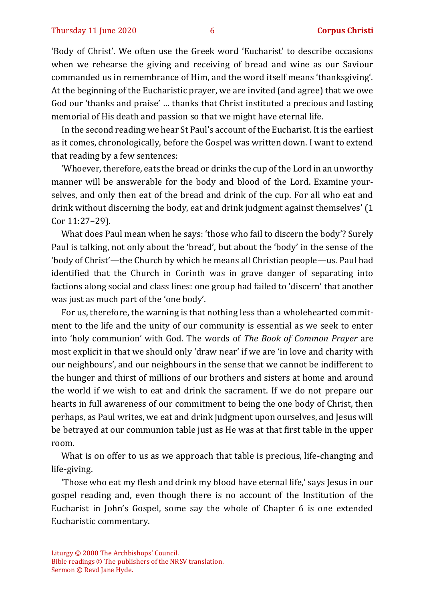'Body of Christ'. We often use the Greek word 'Eucharist' to describe occasions when we rehearse the giving and receiving of bread and wine as our Saviour commanded us in remembrance of Him, and the word itself means 'thanksgiving'. At the beginning of the Eucharistic prayer, we are invited (and agree) that we owe God our 'thanks and praise' … thanks that Christ instituted a precious and lasting memorial of His death and passion so that we might have eternal life.

In the second reading we hear St Paul's account of the Eucharist. It is the earliest as it comes, chronologically, before the Gospel was written down. I want to extend that reading by a few sentences:

'Whoever, therefore, eats the bread or drinks the cup of the Lord in an unworthy manner will be answerable for the body and blood of the Lord. Examine yourselves, and only then eat of the bread and drink of the cup. For all who eat and drink without discerning the body, eat and drink judgment against themselves' (1 Cor 11:27–29).

What does Paul mean when he says: 'those who fail to discern the body'? Surely Paul is talking, not only about the 'bread', but about the 'body' in the sense of the 'body of Christ'—the Church by which he means all Christian people—us. Paul had identified that the Church in Corinth was in grave danger of separating into factions along social and class lines: one group had failed to 'discern' that another was just as much part of the 'one body'.

For us, therefore, the warning is that nothing less than a wholehearted commitment to the life and the unity of our community is essential as we seek to enter into 'holy communion' with God. The words of *The Book of Common Prayer* are most explicit in that we should only 'draw near' if we are 'in love and charity with our neighbours', and our neighbours in the sense that we cannot be indifferent to the hunger and thirst of millions of our brothers and sisters at home and around the world if we wish to eat and drink the sacrament. If we do not prepare our hearts in full awareness of our commitment to being the one body of Christ, then perhaps, as Paul writes, we eat and drink judgment upon ourselves, and Jesus will be betrayed at our communion table just as He was at that first table in the upper room.

What is on offer to us as we approach that table is precious, life-changing and life-giving.

'Those who eat my flesh and drink my blood have eternal life,' says Jesus in our gospel reading and, even though there is no account of the Institution of the Eucharist in John's Gospel, some say the whole of Chapter 6 is one extended Eucharistic commentary.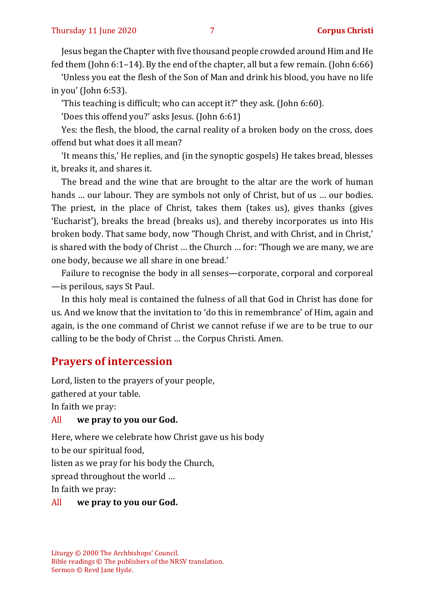Jesus began the Chapter with five thousand people crowded around Him and He fed them (John 6:1–14). By the end of the chapter, all but a few remain. (John 6:66)

'Unless you eat the flesh of the Son of Man and drink his blood, you have no life in you' (John 6:53).

'This teaching is difficult; who can accept it?" they ask. (John 6:60).

'Does this offend you?' asks Jesus. (John 6:61)

Yes: the flesh, the blood, the carnal reality of a broken body on the cross, does offend but what does it all mean?

'It means this,' He replies, and (in the synoptic gospels) He takes bread, blesses it, breaks it, and shares it.

The bread and the wine that are brought to the altar are the work of human hands ... our labour. They are symbols not only of Christ, but of us ... our bodies. The priest, in the place of Christ, takes them (takes us), gives thanks (gives 'Eucharist'), breaks the bread (breaks us), and thereby incorporates us into His broken body. That same body, now 'Though Christ, and with Christ, and in Christ,' is shared with the body of Christ … the Church … for: 'Though we are many, we are one body, because we all share in one bread.'

Failure to recognise the body in all senses—corporate, corporal and corporeal —is perilous, says St Paul.

In this holy meal is contained the fulness of all that God in Christ has done for us. And we know that the invitation to 'do this in remembrance' of Him, again and again, is the one command of Christ we cannot refuse if we are to be true to our calling to be the body of Christ … the Corpus Christi. Amen.

## **Prayers of intercession**

Lord, listen to the prayers of your people,

gathered at your table.

In faith we pray:

#### All **we pray to you our God.**

Here, where we celebrate how Christ gave us his body

to be our spiritual food,

listen as we pray for his body the Church,

spread throughout the world …

In faith we pray:

#### All **we pray to you our God.**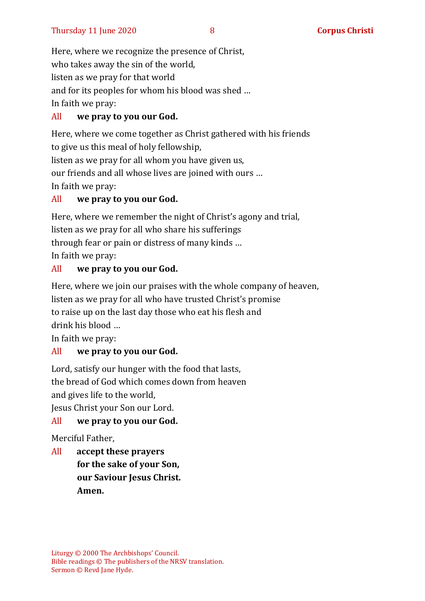Here, where we recognize the presence of Christ, who takes away the sin of the world, listen as we pray for that world and for its peoples for whom his blood was shed … In faith we pray:

#### All **we pray to you our God.**

Here, where we come together as Christ gathered with his friends to give us this meal of holy fellowship,

listen as we pray for all whom you have given us,

our friends and all whose lives are joined with ours …

In faith we pray:

#### All **we pray to you our God.**

Here, where we remember the night of Christ's agony and trial, listen as we pray for all who share his sufferings through fear or pain or distress of many kinds … In faith we pray:

#### All **we pray to you our God.**

Here, where we join our praises with the whole company of heaven, listen as we pray for all who have trusted Christ's promise to raise up on the last day those who eat his flesh and

drink his blood …

In faith we pray:

#### All **we pray to you our God.**

Lord, satisfy our hunger with the food that lasts, the bread of God which comes down from heaven and gives life to the world,

Jesus Christ your Son our Lord.

#### All **we pray to you our God.**

Merciful Father,

All **accept these prayers for the sake of your Son, our Saviour Jesus Christ. Amen.**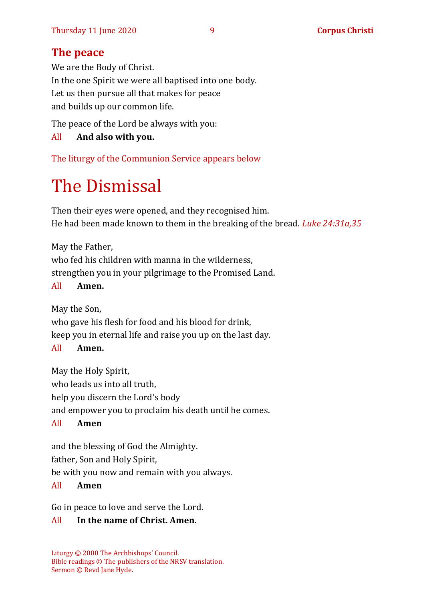## **The peace**

We are the Body of Christ. In the one Spirit we were all baptised into one body. Let us then pursue all that makes for peace and builds up our common life.

The peace of the Lord be always with you:

### All **And also with you.**

The liturgy of the Communion Service appears below

# The Dismissal

Then their eyes were opened, and they recognised him. He had been made known to them in the breaking of the bread. *Luke 24:31a,35*

May the Father, who fed his children with manna in the wilderness, strengthen you in your pilgrimage to the Promised Land.

### All **Amen.**

May the Son,

who gave his flesh for food and his blood for drink,

keep you in eternal life and raise you up on the last day.

## All **Amen.**

May the Holy Spirit, who leads us into all truth, help you discern the Lord's body and empower you to proclaim his death until he comes.

#### All **Amen**

and the blessing of God the Almighty.

father, Son and Holy Spirit,

be with you now and remain with you always.

## All **Amen**

Go in peace to love and serve the Lord.

## All **In the name of Christ. Amen.**

Liturgy © 2000 The Archbishops' Council. Bible readings © The publishers of the NRSV translation. Sermon © Revd Jane Hyde.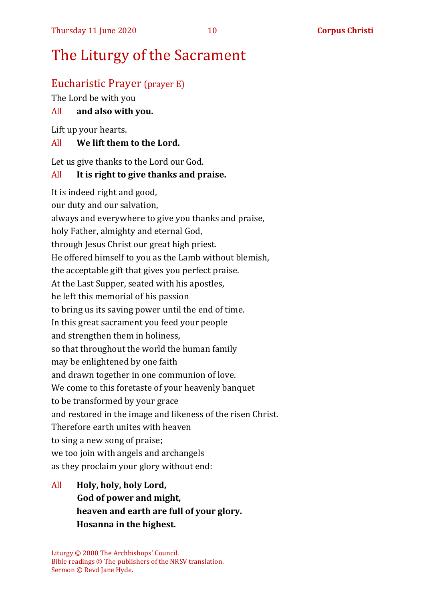## The Liturgy of the Sacrament

## Eucharistic Prayer (prayer E)

The Lord be with you

#### All **and also with you.**

Lift up your hearts.

#### All **We lift them to the Lord.**

Let us give thanks to the Lord our God.

#### All **It is right to give thanks and praise.**

It is indeed right and good, our duty and our salvation, always and everywhere to give you thanks and praise, holy Father, almighty and eternal God, through Jesus Christ our great high priest. He offered himself to you as the Lamb without blemish, the acceptable gift that gives you perfect praise. At the Last Supper, seated with his apostles, he left this memorial of his passion to bring us its saving power until the end of time. In this great sacrament you feed your people and strengthen them in holiness, so that throughout the world the human family may be enlightened by one faith and drawn together in one communion of love. We come to this foretaste of your heavenly banquet to be transformed by your grace and restored in the image and likeness of the risen Christ. Therefore earth unites with heaven to sing a new song of praise; we too join with angels and archangels as they proclaim your glory without end:

## All **Holy, holy, holy Lord, God of power and might, heaven and earth are full of your glory. Hosanna in the highest.**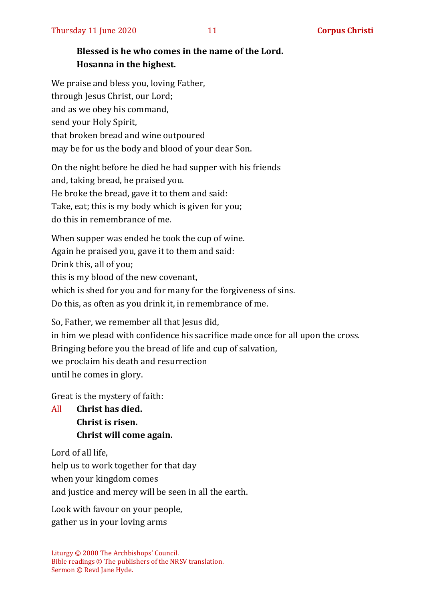## **Blessed is he who comes in the name of the Lord. Hosanna in the highest.**

We praise and bless you, loving Father, through Jesus Christ, our Lord; and as we obey his command, send your Holy Spirit, that broken bread and wine outpoured may be for us the body and blood of your dear Son.

On the night before he died he had supper with his friends and, taking bread, he praised you. He broke the bread, gave it to them and said: Take, eat; this is my body which is given for you; do this in remembrance of me.

When supper was ended he took the cup of wine. Again he praised you, gave it to them and said: Drink this, all of you; this is my blood of the new covenant, which is shed for you and for many for the forgiveness of sins. Do this, as often as you drink it, in remembrance of me.

So, Father, we remember all that Jesus did, in him we plead with confidence his sacrifice made once for all upon the cross. Bringing before you the bread of life and cup of salvation, we proclaim his death and resurrection until he comes in glory.

Great is the mystery of faith:

All **Christ has died. Christ is risen. Christ will come again.**

Lord of all life,

help us to work together for that day

when your kingdom comes

and justice and mercy will be seen in all the earth.

Look with favour on your people, gather us in your loving arms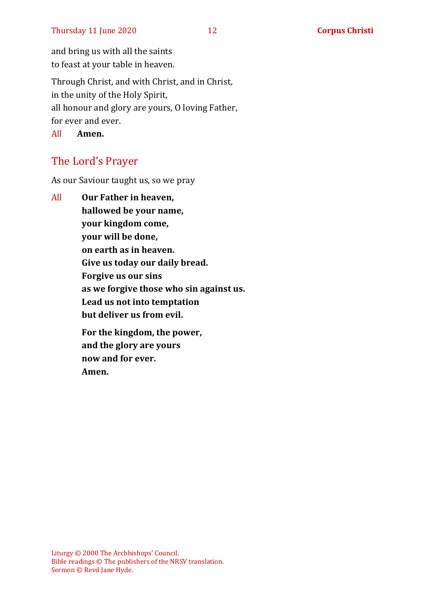and bring us with all the saints to feast at your table in heaven.

Through Christ, and with Christ, and in Christ, in the unity of the Holy Spirit, all honour and glory are yours, O loving Father, for ever and ever.

All **Amen.**

## The Lord's Prayer

As our Saviour taught us, so we pray

All **Our Father in heaven, hallowed be your name, your kingdom come, your will be done, on earth as in heaven. Give us today our daily bread. Forgive us our sins as we forgive those who sin against us. Lead us not into temptation but deliver us from evil.**

**For the kingdom, the power, and the glory are yours now and for ever. Amen.**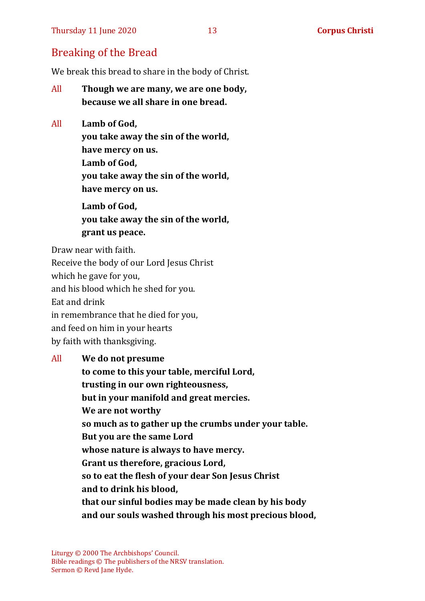## Breaking of the Bread

We break this bread to share in the body of Christ.

All **Though we are many, we are one body, because we all share in one bread.**

All **Lamb of God, you take away the sin of the world, have mercy on us. Lamb of God, you take away the sin of the world, have mercy on us. Lamb of God,** 

**you take away the sin of the world, grant us peace.**

Draw near with faith.

Receive the body of our Lord Jesus Christ which he gave for you, and his blood which he shed for you. Eat and drink in remembrance that he died for you, and feed on him in your hearts by faith with thanksgiving.

All **We do not presume to come to this your table, merciful Lord, trusting in our own righteousness, but in your manifold and great mercies. We are not worthy so much as to gather up the crumbs under your table. But you are the same Lord whose nature is always to have mercy. Grant us therefore, gracious Lord, so to eat the flesh of your dear Son Jesus Christ and to drink his blood, that our sinful bodies may be made clean by his body and our souls washed through his most precious blood,**